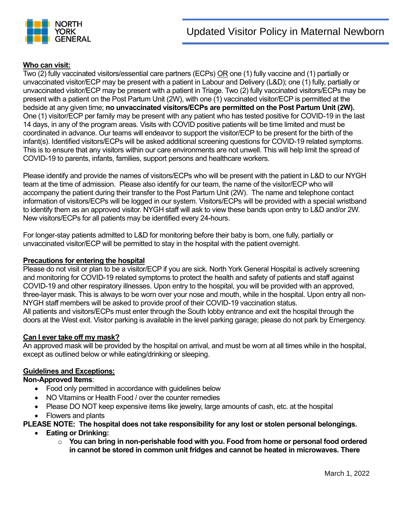

# **Who can visit:**

Two (2) fully vaccinated visitors/essential care partners (ECPs) OR one (1) fully vaccine and (1) partially or unvaccinated visitor/ECP may be present with a patient in Labour and Delivery (L&D); one (1) fully, partially or unvaccinated visitor/ECP may be present with a patient in Triage. Two (2) fully vaccinated visitors/ECPs may be present with a patient on the Post Partum Unit (2W), with one (1) vaccinated visitor/ECP is permitted at the bedside at any given time; **no unvaccinated visitors/ECPs are permitted on the Post Partum Unit (2W).**  One (1) visitor/ECP per family may be present with any patient who has tested positive for COVID-19 in the last 14 days, in any of the program areas. Visits with COVID positive patients will be time limited and must be coordinated in advance. Our teams will endeavor to support the visitor/ECP to be present for the birth of the infant(s). Identified visitors/ECPs will be asked additional screening questions for COVID-19 related symptoms. This is to ensure that any visitors within our care environments are not unwell. This will help limit the spread of COVID-19 to parents, infants, families, support persons and healthcare workers.

Please identify and provide the names of visitors/ECPs who will be present with the patient in L&D to our NYGH team at the time of admission. Please also identify for our team, the name of the visitor/ECP who will accompany the patient during their transfer to the Post Partum Unit (2W). The name and telephone contact information of visitors/ECPs will be logged in our system. Visitors/ECPs will be provided with a special wristband to identify them as an approved visitor. NYGH staff will ask to view these bands upon entry to L&D and/or 2W. New visitors/ECPs for all patients may be identified every 24-hours.

For longer-stay patients admitted to L&D for monitoring before their baby is born, one fully, partially or unvaccinated visitor/ECP will be permitted to stay in the hospital with the patient overnight.

## **Precautions for entering the hospital**

Please do not visit or plan to be a visitor/ECP if you are sick. North York General Hospital is actively screening and monitoring for COVID-19 related symptoms to protect the health and safety of patients and staff against COVID-19 and other respiratory illnesses. Upon entry to the hospital, you will be provided with an approved, three-layer mask. This is always to be worn over your nose and mouth, while in the hospital. Upon entry all non-NYGH staff members will be asked to provide proof of their COVID-19 vaccination status. All patients and visitors/ECPs must enter through the South lobby entrance and exit the hospital through the doors at the West exit. Visitor parking is available in the level parking garage; please do not park by Emergency.

## **Can I ever take off my mask?**

An approved mask will be provided by the hospital on arrival, and must be worn at all times while in the hospital, except as outlined below or while eating/drinking or sleeping.

## **Guidelines and Exceptions:**

## **Non-Approved Items**:

- Food only permitted in accordance with guidelines below
- NO Vitamins or Health Food / over the counter remedies
- Please DO NOT keep expensive items like jewelry, large amounts of cash, etc. at the hospital
- Flowers and plants

## **PLEASE NOTE: The hospital does not take responsibility for any lost or stolen personal belongings.**

- **Eating or Drinking:**
	- o **You can bring in non-perishable food with you. Food from home or personal food ordered in cannot be stored in common unit fridges and cannot be heated in microwaves. There**